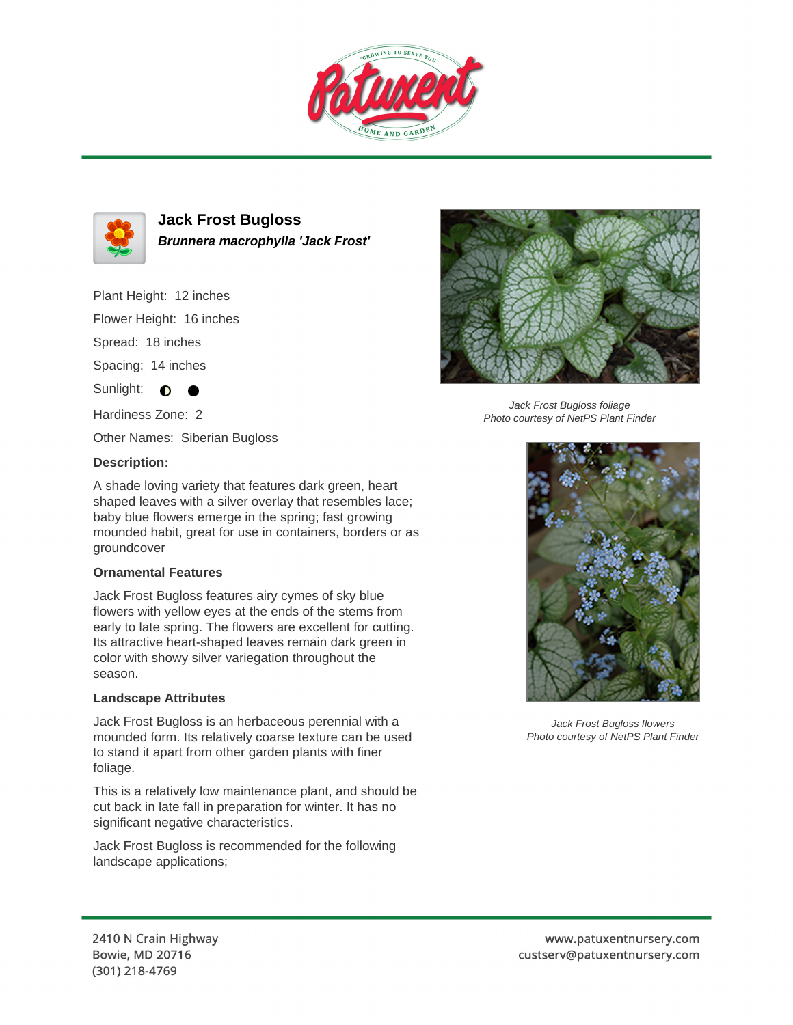



**Jack Frost Bugloss Brunnera macrophylla 'Jack Frost'**

Plant Height: 12 inches

Flower Height: 16 inches

Spread: 18 inches

Spacing: 14 inches

Sunlight:  $\bigcirc$ 

Hardiness Zone: 2

Other Names: Siberian Bugloss

## **Description:**

A shade loving variety that features dark green, heart shaped leaves with a silver overlay that resembles lace; baby blue flowers emerge in the spring; fast growing mounded habit, great for use in containers, borders or as groundcover

## **Ornamental Features**

Jack Frost Bugloss features airy cymes of sky blue flowers with yellow eyes at the ends of the stems from early to late spring. The flowers are excellent for cutting. Its attractive heart-shaped leaves remain dark green in color with showy silver variegation throughout the season.

## **Landscape Attributes**

Jack Frost Bugloss is an herbaceous perennial with a mounded form. Its relatively coarse texture can be used to stand it apart from other garden plants with finer foliage.

This is a relatively low maintenance plant, and should be cut back in late fall in preparation for winter. It has no significant negative characteristics.

Jack Frost Bugloss is recommended for the following landscape applications;



Jack Frost Bugloss foliage Photo courtesy of NetPS Plant Finder



Jack Frost Bugloss flowers Photo courtesy of NetPS Plant Finder